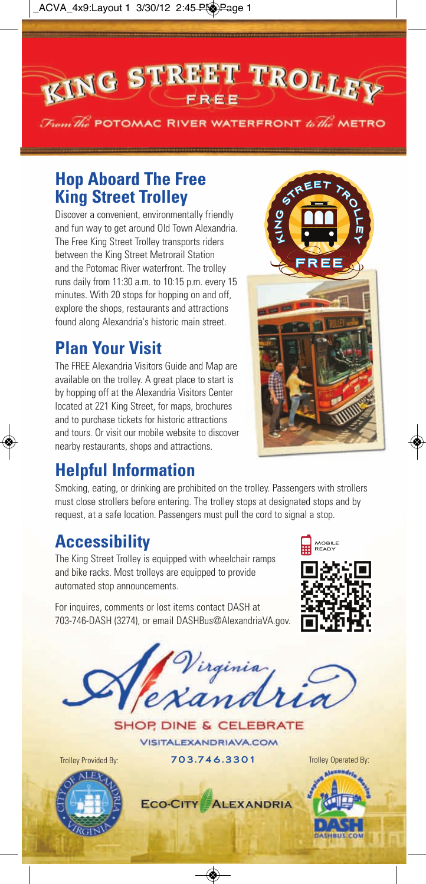ACVA\_4x9:Layout 1 3/30/12 2:45 PM Page 1

**EING STREET TROLLEY** 

 $\mathcal{F}_{\text{tom}}$   $\mathcal{H}_{\text{re}}$  POTOMAC RIVER WATERFRONT  $\mathit{to}\ \mathcal{H}_{\text{re}}$  METRO



Discover a convenient, environmentally friendly and fun way to get around Old Town Alexandria. The Free King Street Trolley transports riders between the King Street Metrorail Station and the Potomac River waterfront. The trolley runs daily from 11:30 a.m. to 10:15 p.m. every 15 minutes. With 20 stops for hopping on and off, explore the shops, restaurants and attractions found along Alexandria's historic main street.

## **Plan Your Visit**

The FREE Alexandria Visitors Guide and Map are available on the trolley. A great place to start is by hopping off at the Alexandria Visitors Center located at 221 King Street, for maps, brochures and to purchase tickets for historic attractions and tours. Or visit our mobile website to discover nearby restaurants, shops and attractions.



## **Helpful Information**

Smoking, eating, or drinking are prohibited on the trolley. Passengers with strollers must close strollers before entering. The trolley stops at designated stops and by request, at a safe location. Passengers must pull the cord to signal a stop.

## **Accessibility**

The King Street Trolley is equipped with wheelchair ramps and bike racks. Most trolleys are equipped to provide automated stop announcements.

For inquires, comments or lost items contact DASH at 703-746-DASH (3274), or email DASHBus@AlexandriaVA.gov.









Trolley Provided By: **703 .746 .3301** Trolley Operated By:



◈